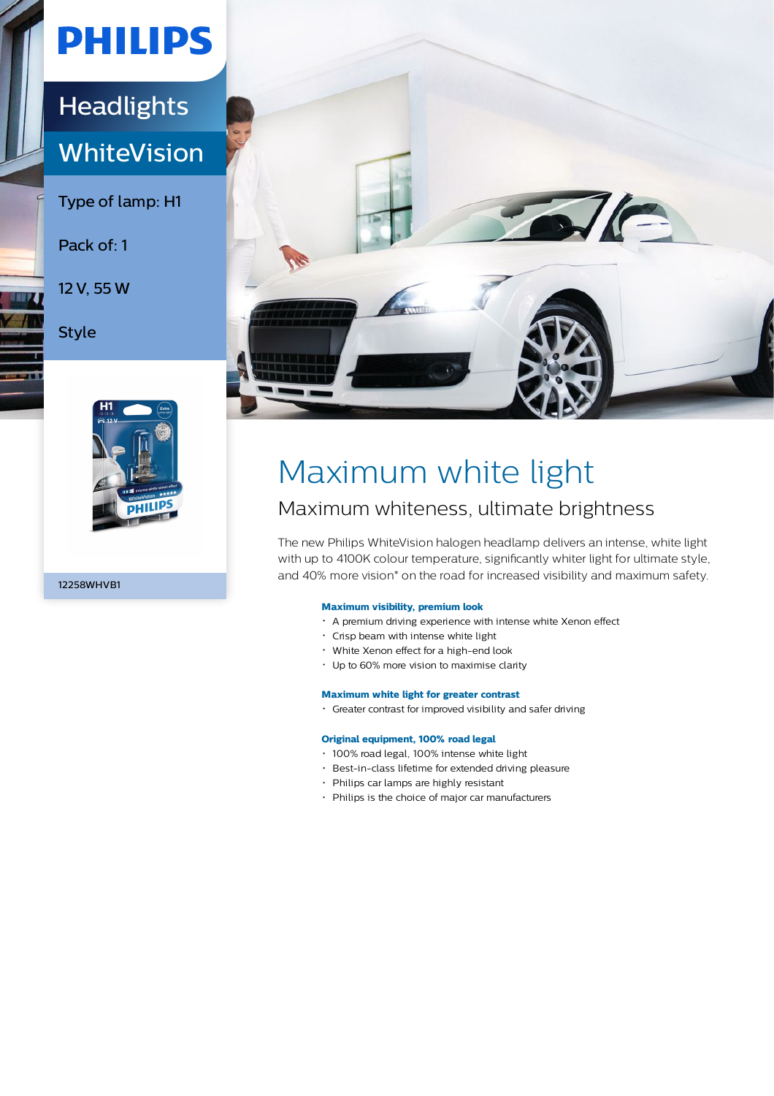# **PHILIPS**

### **Headlights WhiteVision**

Type of lamp: H1

Pack of: 1

12 V, 55 W

Style



12258WHVB1



## Maximum white light

### Maximum whiteness, ultimate brightness

The new Philips WhiteVision halogen headlamp delivers an intense, white light with up to 4100K colour temperature, significantly whiter light for ultimate style, and 40% more vision\* on the road for increased visibility and maximum safety.

### **Maximum visibility, premium look**

- A premium driving experience with intense white Xenon effect
- Crisp beam with intense white light
- White Xenon effect for a high-end look
- Up to 60% more vision to maximise clarity

#### **Maximum white light for greater contrast**

Greater contrast for improved visibility and safer driving

#### **Original equipment, 100% road legal**

- 100% road legal, 100% intense white light
- Best-in-class lifetime for extended driving pleasure
- Philips car lamps are highly resistant
- Philips is the choice of major car manufacturers